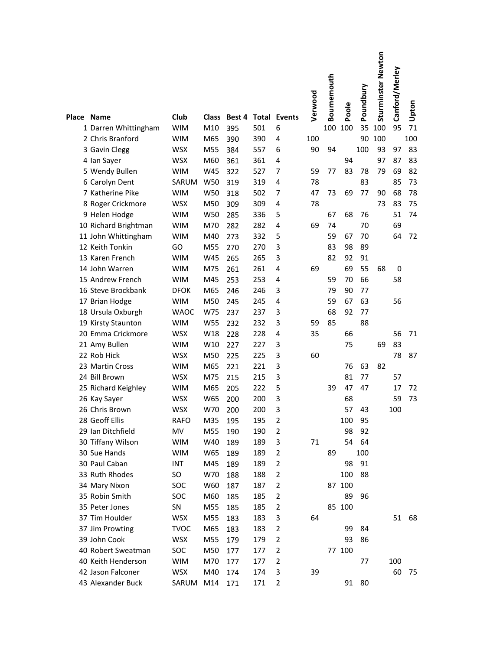|            |                      |             |              |        |     |                     | Verwood | Bournemouth | Poole  | Poundbury | Sturminster Newton | Canford/Merley | Upton |
|------------|----------------------|-------------|--------------|--------|-----|---------------------|---------|-------------|--------|-----------|--------------------|----------------|-------|
| Place Name |                      | Club        | <b>Class</b> | Best 4 |     | <b>Total Events</b> |         |             |        |           |                    |                |       |
|            | 1 Darren Whittingham | <b>WIM</b>  | M10          | 395    | 501 | 6                   |         | 100         | 100    | 35        | 100                | 95             | 71    |
|            | 2 Chris Branford     | <b>WIM</b>  | M65          | 390    | 390 | 4                   | 100     |             |        | 90        | 100                |                | 100   |
|            | 3 Gavin Clegg        | WSX         | M55          | 384    | 557 | 6                   | 90      | 94          |        | 100       | 93                 | 97             | 83    |
|            | 4 Ian Sayer          | <b>WSX</b>  | M60          | 361    | 361 | 4                   |         |             | 94     |           | 97                 | 87             | 83    |
|            | 5 Wendy Bullen       | <b>WIM</b>  | W45          | 322    | 527 | 7                   | 59      | 77          | 83     | 78        | 79                 | 69             | 82    |
|            | 6 Carolyn Dent       | SARUM       | W50          | 319    | 319 | 4                   | 78      |             |        | 83        |                    | 85             | 73    |
|            | 7 Katherine Pike     | <b>WIM</b>  | W50          | 318    | 502 | 7                   | 47      | 73          | 69     | 77        | 90                 | 68             | 78    |
|            | 8 Roger Crickmore    | <b>WSX</b>  | M50          | 309    | 309 | 4                   | 78      |             |        |           | 73                 | 83             | 75    |
|            | 9 Helen Hodge        | <b>WIM</b>  | W50          | 285    | 336 | 5                   |         | 67          | 68     | 76        |                    | 51             | 74    |
|            | 10 Richard Brightman | <b>WIM</b>  | M70          | 282    | 282 | 4                   | 69      | 74          |        | 70        |                    | 69             |       |
|            | 11 John Whittingham  | <b>WIM</b>  | M40          | 273    | 332 | 5                   |         | 59          | 67     | 70        |                    | 64             | 72    |
|            | 12 Keith Tonkin      | GO          | M55          | 270    | 270 | 3                   |         | 83          | 98     | 89        |                    |                |       |
|            | 13 Karen French      | <b>WIM</b>  | W45          | 265    | 265 | 3                   |         | 82          | 92     | 91        |                    |                |       |
|            | 14 John Warren       | <b>WIM</b>  | M75          | 261    | 261 | 4                   | 69      |             | 69     | 55        | 68                 | $\mathbf 0$    |       |
|            | 15 Andrew French     | <b>WIM</b>  | M45          | 253    | 253 | 4                   |         | 59          | 70     | 66        |                    | 58             |       |
|            | 16 Steve Brockbank   | <b>DFOK</b> | M65          | 246    | 246 | 3                   |         | 79          | 90     | 77        |                    |                |       |
|            | 17 Brian Hodge       | <b>WIM</b>  | M50          | 245    | 245 | 4                   |         | 59          | 67     | 63        |                    | 56             |       |
|            | 18 Ursula Oxburgh    | <b>WAOC</b> | W75          | 237    | 237 | 3                   |         | 68          | 92     | 77        |                    |                |       |
|            | 19 Kirsty Staunton   | <b>WIM</b>  | W55          | 232    | 232 | 3                   | 59      | 85          |        | 88        |                    |                |       |
|            | 20 Emma Crickmore    | <b>WSX</b>  | W18          | 228    | 228 | 4                   | 35      |             | 66     |           |                    | 56             | 71    |
|            | 21 Amy Bullen        | <b>WIM</b>  | W10          | 227    | 227 | 3                   |         |             | 75     |           | 69                 | 83             |       |
|            | 22 Rob Hick          | <b>WSX</b>  | M50          | 225    | 225 | 3                   | 60      |             |        |           |                    | 78             | 87    |
|            | 23 Martin Cross      | <b>WIM</b>  | M65          | 221    | 221 | 3                   |         |             | 76     | 63        | 82                 |                |       |
|            | 24 Bill Brown        | <b>WSX</b>  | M75          | 215    | 215 | 3                   |         |             | 81     | 77        |                    | 57             |       |
|            | 25 Richard Keighley  | <b>WIM</b>  | M65          | 205    | 222 | 5                   |         | 39          | 47     | 47        |                    | 17             | 72    |
|            | 26 Kay Sayer         | <b>WSX</b>  | W65          | 200    | 200 | 3                   |         |             | 68     |           |                    | 59             | 73    |
|            | 26 Chris Brown       | <b>WSX</b>  | W70          | 200    | 200 | 3                   |         |             | 57     | 43        |                    | 100            |       |
|            | 28 Geoff Ellis       | <b>RAFO</b> | M35          | 195    | 195 | $\overline{2}$      |         |             | 100    | 95        |                    |                |       |
|            | 29 Ian Ditchfield    | MV          | M55          | 190    | 190 | 2                   |         |             | 98     | 92        |                    |                |       |
|            | 30 Tiffany Wilson    | <b>WIM</b>  | W40          | 189    | 189 | 3                   | 71      |             | 54     | 64        |                    |                |       |
|            | 30 Sue Hands         | <b>WIM</b>  | W65          | 189    | 189 | 2                   |         | 89          |        | 100       |                    |                |       |
|            | 30 Paul Caban        | INT         | M45          | 189    | 189 | 2                   |         |             | 98     | 91        |                    |                |       |
|            | 33 Ruth Rhodes       | SO          | W70          | 188    | 188 | $\overline{2}$      |         |             | 100    | 88        |                    |                |       |
|            | 34 Mary Nixon        | SOC         | W60          | 187    | 187 | 2                   |         |             | 87 100 |           |                    |                |       |
|            | 35 Robin Smith       | SOC         | M60          | 185    | 185 | 2                   |         |             | 89     | 96        |                    |                |       |
|            | 35 Peter Jones       | SN          | M55          | 185    | 185 | 2                   |         |             | 85 100 |           |                    |                |       |
|            | 37 Tim Houlder       | <b>WSX</b>  | M55          | 183    | 183 | 3                   | 64      |             |        |           |                    | 51             | 68    |
|            | 37 Jim Prowting      | <b>TVOC</b> | M65          | 183    | 183 | 2                   |         |             | 99     | 84        |                    |                |       |
|            | 39 John Cook         | <b>WSX</b>  | M55          | 179    | 179 | 2                   |         |             | 93     | 86        |                    |                |       |
|            | 40 Robert Sweatman   | SOC         | M50          | 177    | 177 | 2                   |         |             | 77 100 |           |                    |                |       |
|            | 40 Keith Henderson   | <b>WIM</b>  | M70          | 177    | 177 | 2                   |         |             |        | 77        |                    | 100            |       |
|            | 42 Jason Falconer    | <b>WSX</b>  | M40          | 174    | 174 | 3                   | 39      |             |        |           |                    | 60             | 75    |
|            | 43 Alexander Buck    | SARUM       | M14          | 171    | 171 | 2                   |         |             |        | 91 80     |                    |                |       |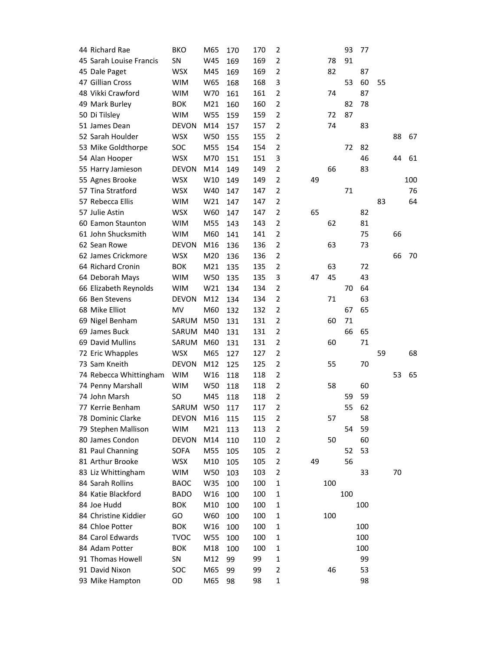| 44 Richard Rae          | <b>BKO</b>   | M65 | 170 | 170 | 2                       |    |     | 93  | 77  |    |    |     |
|-------------------------|--------------|-----|-----|-----|-------------------------|----|-----|-----|-----|----|----|-----|
| 45 Sarah Louise Francis | SN           | W45 | 169 | 169 | $\overline{2}$          |    | 78  | 91  |     |    |    |     |
| 45 Dale Paget           | <b>WSX</b>   | M45 | 169 | 169 | $\overline{2}$          |    | 82  |     | 87  |    |    |     |
| 47 Gillian Cross        | <b>WIM</b>   | W65 | 168 | 168 | 3                       |    |     | 53  | 60  | 55 |    |     |
| 48 Vikki Crawford       | <b>WIM</b>   | W70 | 161 | 161 | $\overline{2}$          |    | 74  |     | 87  |    |    |     |
| 49 Mark Burley          | <b>BOK</b>   | M21 | 160 | 160 | $\overline{2}$          |    |     | 82  | 78  |    |    |     |
| 50 Di Tilsley           | <b>WIM</b>   | W55 | 159 | 159 | $\overline{2}$          |    | 72  | 87  |     |    |    |     |
| 51 James Dean           | <b>DEVON</b> | M14 | 157 | 157 | $\overline{2}$          |    | 74  |     | 83  |    |    |     |
| 52 Sarah Houlder        | <b>WSX</b>   | W50 | 155 | 155 | $\overline{2}$          |    |     |     |     |    | 88 | 67  |
| 53 Mike Goldthorpe      | SOC          | M55 | 154 | 154 | $\overline{2}$          |    |     | 72  | 82  |    |    |     |
| 54 Alan Hooper          | <b>WSX</b>   | M70 | 151 | 151 | 3                       |    |     |     | 46  |    | 44 | 61  |
| 55 Harry Jamieson       | <b>DEVON</b> | M14 | 149 | 149 | $\overline{2}$          |    | 66  |     | 83  |    |    |     |
| 55 Agnes Brooke         | <b>WSX</b>   | W10 | 149 | 149 | $\overline{2}$          | 49 |     |     |     |    |    | 100 |
| 57 Tina Stratford       | <b>WSX</b>   | W40 | 147 | 147 | $\overline{2}$          |    |     | 71  |     |    |    | 76  |
| 57 Rebecca Ellis        | <b>WIM</b>   | W21 | 147 | 147 | $\overline{2}$          |    |     |     |     | 83 |    | 64  |
| 57 Julie Astin          | <b>WSX</b>   | W60 | 147 | 147 | $\overline{2}$          | 65 |     |     | 82  |    |    |     |
| 60 Eamon Staunton       | <b>WIM</b>   | M55 | 143 | 143 | $\overline{2}$          |    | 62  |     | 81  |    |    |     |
| 61 John Shucksmith      | <b>WIM</b>   | M60 | 141 | 141 | $\overline{2}$          |    |     |     | 75  |    | 66 |     |
| 62 Sean Rowe            | <b>DEVON</b> | M16 | 136 | 136 | $\overline{2}$          |    | 63  |     | 73  |    |    |     |
| 62 James Crickmore      | <b>WSX</b>   | M20 | 136 | 136 | $\overline{2}$          |    |     |     |     |    | 66 | 70  |
| 64 Richard Cronin       | <b>BOK</b>   | M21 | 135 | 135 | $\overline{2}$          |    | 63  |     | 72  |    |    |     |
| 64 Deborah Mays         | <b>WIM</b>   | W50 | 135 | 135 | 3                       | 47 | 45  |     | 43  |    |    |     |
| 66 Elizabeth Reynolds   | <b>WIM</b>   | W21 | 134 | 134 | $\overline{2}$          |    |     | 70  | 64  |    |    |     |
| 66 Ben Stevens          | <b>DEVON</b> | M12 | 134 | 134 | $\overline{2}$          |    | 71  |     | 63  |    |    |     |
| 68 Mike Elliot          | MV           | M60 | 132 | 132 | $\overline{2}$          |    |     | 67  | 65  |    |    |     |
| 69 Nigel Benham         | SARUM        | M50 | 131 | 131 | $\overline{2}$          |    | 60  | 71  |     |    |    |     |
| 69 James Buck           | SARUM        | M40 | 131 | 131 | $\overline{2}$          |    |     | 66  | 65  |    |    |     |
| 69 David Mullins        | SARUM        | M60 | 131 | 131 | $\overline{2}$          |    | 60  |     | 71  |    |    |     |
| 72 Eric Whapples        | <b>WSX</b>   | M65 | 127 | 127 | $\overline{2}$          |    |     |     |     | 59 |    | 68  |
| 73 Sam Kneith           | <b>DEVON</b> | M12 | 125 | 125 | $\overline{2}$          |    | 55  |     | 70  |    |    |     |
| 74 Rebecca Whittingham  | <b>WIM</b>   | W16 | 118 | 118 | $\overline{2}$          |    |     |     |     |    | 53 | 65  |
| 74 Penny Marshall       | <b>WIM</b>   | W50 | 118 | 118 | $\overline{2}$          |    | 58  |     | 60  |    |    |     |
| 74 John Marsh           | SO           | M45 | 118 | 118 | $\overline{2}$          |    |     | 59  | 59  |    |    |     |
| 77 Kerrie Benham        | SARUM        | W50 | 117 | 117 | $\overline{2}$          |    |     | 55  | 62  |    |    |     |
| 78 Dominic Clarke       | DEVON        | M16 | 115 | 115 | $\overline{2}$          |    | 57  |     | 58  |    |    |     |
| 79 Stephen Mallison     | <b>WIM</b>   | M21 | 113 | 113 | $\overline{2}$          |    |     | 54  | 59  |    |    |     |
| 80 James Condon         | <b>DEVON</b> | M14 | 110 | 110 | $\overline{2}$          |    | 50  |     | 60  |    |    |     |
| 81 Paul Channing        | <b>SOFA</b>  | M55 | 105 | 105 | $\overline{2}$          |    |     | 52  | 53  |    |    |     |
| 81 Arthur Brooke        | <b>WSX</b>   | M10 | 105 | 105 | $\overline{2}$          | 49 |     | 56  |     |    |    |     |
| 83 Liz Whittingham      | <b>WIM</b>   | W50 | 103 | 103 | $\overline{2}$          |    |     |     | 33  |    | 70 |     |
| 84 Sarah Rollins        | <b>BAOC</b>  | W35 | 100 | 100 | $\mathbf{1}$            |    | 100 |     |     |    |    |     |
| 84 Katie Blackford      | <b>BADO</b>  | W16 | 100 | 100 | 1                       |    |     | 100 |     |    |    |     |
| 84 Joe Hudd             | <b>BOK</b>   | M10 | 100 | 100 | $\mathbf 1$             |    |     |     | 100 |    |    |     |
| 84 Christine Kiddier    | GO           | W60 | 100 | 100 | $\mathbf 1$             |    | 100 |     |     |    |    |     |
| 84 Chloe Potter         | <b>BOK</b>   | W16 | 100 | 100 | $\mathbf 1$             |    |     |     | 100 |    |    |     |
| 84 Carol Edwards        | <b>TVOC</b>  | W55 | 100 | 100 | $\mathbf{1}$            |    |     |     | 100 |    |    |     |
| 84 Adam Potter          | <b>BOK</b>   | M18 | 100 | 100 | 1                       |    |     |     | 100 |    |    |     |
| 91 Thomas Howell        | SN           | M12 | 99  | 99  | $\mathbf 1$             |    |     |     | 99  |    |    |     |
| 91 David Nixon          | SOC          | M65 | 99  | 99  | $\overline{\mathbf{c}}$ |    | 46  |     | 53  |    |    |     |
| 93 Mike Hampton         | OD           | M65 | 98  | 98  | $\mathbf{1}$            |    |     |     | 98  |    |    |     |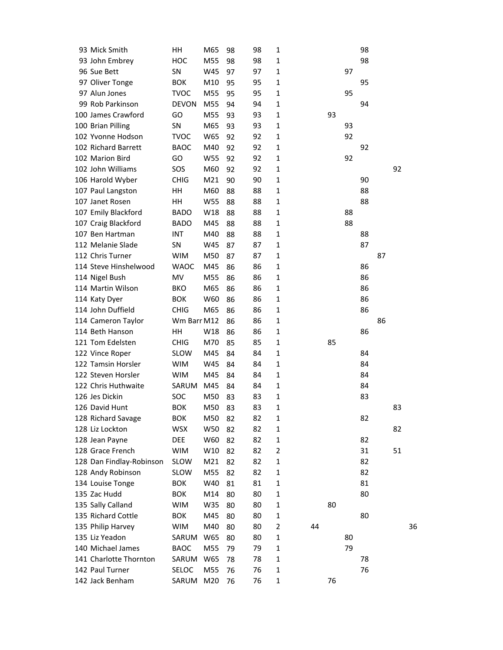| 93 Mick Smith            | HH           | M65 | 98 | 98 | 1              |    |    |    | 98 |    |    |    |
|--------------------------|--------------|-----|----|----|----------------|----|----|----|----|----|----|----|
| 93 John Embrey           | HOC          | M55 | 98 | 98 | 1              |    |    |    | 98 |    |    |    |
| 96 Sue Bett              | SN           | W45 | 97 | 97 | 1              |    |    | 97 |    |    |    |    |
| 97 Oliver Tonge          | <b>BOK</b>   | M10 | 95 | 95 | $\mathbf{1}$   |    |    |    | 95 |    |    |    |
| 97 Alun Jones            | <b>TVOC</b>  | M55 | 95 | 95 | $\mathbf{1}$   |    |    | 95 |    |    |    |    |
| 99 Rob Parkinson         | <b>DEVON</b> | M55 | 94 | 94 | $\mathbf{1}$   |    |    |    | 94 |    |    |    |
| 100 James Crawford       | GO           | M55 | 93 | 93 | $\mathbf{1}$   |    | 93 |    |    |    |    |    |
| 100 Brian Pilling        | SN           | M65 | 93 | 93 | 1              |    |    | 93 |    |    |    |    |
| 102 Yvonne Hodson        | <b>TVOC</b>  | W65 | 92 | 92 | $\mathbf{1}$   |    |    | 92 |    |    |    |    |
| 102 Richard Barrett      | <b>BAOC</b>  | M40 | 92 | 92 | $\mathbf{1}$   |    |    |    | 92 |    |    |    |
| 102 Marion Bird          | GO           | W55 | 92 | 92 | $\mathbf{1}$   |    |    | 92 |    |    |    |    |
| 102 John Williams        | SOS          | M60 | 92 | 92 | $\mathbf{1}$   |    |    |    |    |    | 92 |    |
| 106 Harold Wyber         | <b>CHIG</b>  | M21 | 90 | 90 | 1              |    |    |    | 90 |    |    |    |
| 107 Paul Langston        | HH           | M60 | 88 | 88 | $\mathbf{1}$   |    |    |    | 88 |    |    |    |
| 107 Janet Rosen          | HН           | W55 | 88 | 88 | $\mathbf{1}$   |    |    |    | 88 |    |    |    |
| 107 Emily Blackford      | <b>BADO</b>  | W18 | 88 | 88 | $\mathbf{1}$   |    |    | 88 |    |    |    |    |
| 107 Craig Blackford      | <b>BADO</b>  | M45 | 88 | 88 | $\mathbf{1}$   |    |    | 88 |    |    |    |    |
| 107 Ben Hartman          | INT          | M40 | 88 | 88 | 1              |    |    |    | 88 |    |    |    |
| 112 Melanie Slade        | <b>SN</b>    | W45 | 87 | 87 | $\mathbf{1}$   |    |    |    | 87 |    |    |    |
| 112 Chris Turner         | <b>WIM</b>   | M50 | 87 | 87 | $\mathbf{1}$   |    |    |    |    | 87 |    |    |
| 114 Steve Hinshelwood    | <b>WAOC</b>  | M45 | 86 | 86 | $\mathbf{1}$   |    |    |    | 86 |    |    |    |
| 114 Nigel Bush           | MV           | M55 | 86 | 86 | $\mathbf{1}$   |    |    |    | 86 |    |    |    |
| 114 Martin Wilson        | <b>BKO</b>   | M65 | 86 | 86 | 1              |    |    |    | 86 |    |    |    |
| 114 Katy Dyer            | <b>BOK</b>   | W60 | 86 | 86 | $\mathbf{1}$   |    |    |    | 86 |    |    |    |
| 114 John Duffield        | <b>CHIG</b>  | M65 | 86 | 86 | $\mathbf{1}$   |    |    |    | 86 |    |    |    |
| 114 Cameron Taylor       | Wm Barr M12  |     | 86 | 86 | $\mathbf{1}$   |    |    |    |    | 86 |    |    |
| 114 Beth Hanson          | HH           | W18 | 86 | 86 | $\mathbf{1}$   |    |    |    | 86 |    |    |    |
| 121 Tom Edelsten         | <b>CHIG</b>  | M70 | 85 | 85 | 1              |    | 85 |    |    |    |    |    |
| 122 Vince Roper          | <b>SLOW</b>  | M45 | 84 | 84 | $\mathbf{1}$   |    |    |    | 84 |    |    |    |
| 122 Tamsin Horsler       | <b>WIM</b>   | W45 | 84 | 84 | $\mathbf{1}$   |    |    |    | 84 |    |    |    |
| 122 Steven Horsler       | <b>WIM</b>   | M45 | 84 | 84 | $\mathbf{1}$   |    |    |    | 84 |    |    |    |
| 122 Chris Huthwaite      | SARUM        | M45 | 84 | 84 | $\mathbf{1}$   |    |    |    | 84 |    |    |    |
| 126 Jes Dickin           | SOC          | M50 | 83 | 83 | 1              |    |    |    | 83 |    |    |    |
| 126 David Hunt           | <b>BOK</b>   | M50 | 83 | 83 | $\mathbf{1}$   |    |    |    |    |    | 83 |    |
| 128 Richard Savage       | <b>BOK</b>   | M50 | 82 | 82 | $\mathbf{1}$   |    |    |    | 82 |    |    |    |
| 128 Liz Lockton          | <b>WSX</b>   | W50 | 82 | 82 | $\mathbf{1}$   |    |    |    |    |    | 82 |    |
| 128 Jean Payne           | <b>DEE</b>   | W60 | 82 | 82 | $\mathbf{1}$   |    |    |    | 82 |    |    |    |
| 128 Grace French         | <b>WIM</b>   | W10 | 82 | 82 | $\overline{2}$ |    |    |    | 31 |    | 51 |    |
| 128 Dan Findlay-Robinson | <b>SLOW</b>  | M21 | 82 | 82 | $\mathbf{1}$   |    |    |    | 82 |    |    |    |
| 128 Andy Robinson        | <b>SLOW</b>  | M55 | 82 | 82 | $\mathbf{1}$   |    |    |    | 82 |    |    |    |
| 134 Louise Tonge         | <b>BOK</b>   | W40 | 81 | 81 | $\mathbf{1}$   |    |    |    | 81 |    |    |    |
| 135 Zac Hudd             | <b>BOK</b>   | M14 | 80 | 80 | $\mathbf{1}$   |    |    |    | 80 |    |    |    |
| 135 Sally Calland        | <b>WIM</b>   | W35 | 80 | 80 | $\mathbf 1$    |    | 80 |    |    |    |    |    |
| 135 Richard Cottle       | <b>BOK</b>   | M45 | 80 | 80 | $\mathbf{1}$   |    |    |    | 80 |    |    |    |
| 135 Philip Harvey        | <b>WIM</b>   | M40 | 80 | 80 | 2              | 44 |    |    |    |    |    | 36 |
| 135 Liz Yeadon           | SARUM        | W65 | 80 | 80 | $\mathbf{1}$   |    |    | 80 |    |    |    |    |
| 140 Michael James        | <b>BAOC</b>  | M55 | 79 | 79 | $\mathbf{1}$   |    |    | 79 |    |    |    |    |
| 141 Charlotte Thornton   | SARUM        | W65 | 78 | 78 | $\mathbf 1$    |    |    |    | 78 |    |    |    |
| 142 Paul Turner          | SELOC        | M55 | 76 | 76 | $\mathbf{1}$   |    |    |    | 76 |    |    |    |
| 142 Jack Benham          | SARUM        | M20 | 76 | 76 | $\mathbf 1$    |    | 76 |    |    |    |    |    |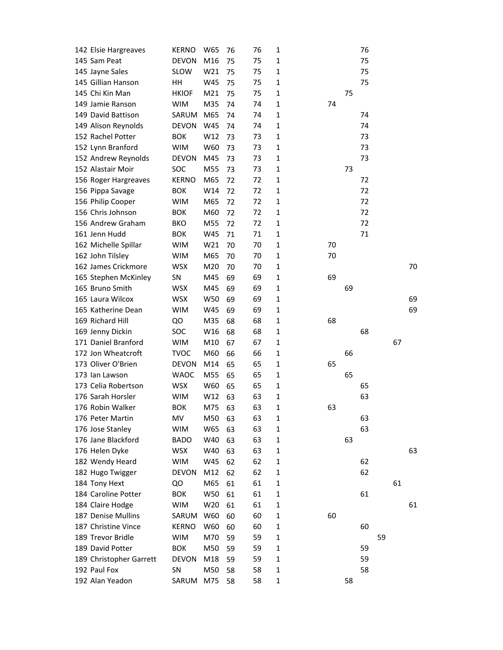| 142 Elsie Hargreaves    | <b>KERNO</b> | W65 | 76 | 76 | 1            |    |    | 76 |    |    |    |
|-------------------------|--------------|-----|----|----|--------------|----|----|----|----|----|----|
| 145 Sam Peat            | <b>DEVON</b> | M16 | 75 | 75 | 1            |    |    | 75 |    |    |    |
| 145 Jayne Sales         | <b>SLOW</b>  | W21 | 75 | 75 | $\mathbf{1}$ |    |    | 75 |    |    |    |
| 145 Gillian Hanson      | HH           | W45 | 75 | 75 | $\mathbf{1}$ |    |    | 75 |    |    |    |
| 145 Chi Kin Man         | <b>HKIOF</b> | M21 | 75 | 75 | 1            |    | 75 |    |    |    |    |
| 149 Jamie Ranson        | <b>WIM</b>   | M35 | 74 | 74 | 1            | 74 |    |    |    |    |    |
| 149 David Battison      | SARUM        | M65 | 74 | 74 | $\mathbf{1}$ |    |    | 74 |    |    |    |
| 149 Alison Reynolds     | <b>DEVON</b> | W45 | 74 | 74 | 1            |    |    | 74 |    |    |    |
| 152 Rachel Potter       | <b>BOK</b>   | W12 | 73 | 73 | $\mathbf{1}$ |    |    | 73 |    |    |    |
| 152 Lynn Branford       | <b>WIM</b>   | W60 | 73 | 73 | $\mathbf{1}$ |    |    | 73 |    |    |    |
| 152 Andrew Reynolds     | <b>DEVON</b> | M45 | 73 | 73 | $\mathbf{1}$ |    |    | 73 |    |    |    |
| 152 Alastair Moir       | SOC          | M55 | 73 | 73 | $\mathbf{1}$ |    | 73 |    |    |    |    |
| 156 Roger Hargreaves    | <b>KERNO</b> | M65 | 72 | 72 | $\mathbf{1}$ |    |    | 72 |    |    |    |
| 156 Pippa Savage        | <b>BOK</b>   | W14 | 72 | 72 | $\mathbf{1}$ |    |    | 72 |    |    |    |
| 156 Philip Cooper       | <b>WIM</b>   | M65 | 72 | 72 | $\mathbf{1}$ |    |    | 72 |    |    |    |
| 156 Chris Johnson       | <b>BOK</b>   | M60 | 72 | 72 | $\mathbf{1}$ |    |    | 72 |    |    |    |
| 156 Andrew Graham       | <b>BKO</b>   | M55 | 72 | 72 | $\mathbf{1}$ |    |    | 72 |    |    |    |
| 161 Jenn Hudd           | <b>BOK</b>   | W45 | 71 | 71 | 1            |    |    | 71 |    |    |    |
| 162 Michelle Spillar    | <b>WIM</b>   | W21 | 70 | 70 | $\mathbf{1}$ | 70 |    |    |    |    |    |
| 162 John Tilsley        | <b>WIM</b>   | M65 | 70 | 70 | $\mathbf{1}$ | 70 |    |    |    |    |    |
| 162 James Crickmore     | <b>WSX</b>   | M20 | 70 | 70 | 1            |    |    |    |    |    | 70 |
| 165 Stephen McKinley    | SN           | M45 | 69 | 69 | $\mathbf{1}$ | 69 |    |    |    |    |    |
| 165 Bruno Smith         | <b>WSX</b>   | M45 | 69 | 69 | $\mathbf{1}$ |    | 69 |    |    |    |    |
| 165 Laura Wilcox        | <b>WSX</b>   | W50 | 69 | 69 | $\mathbf{1}$ |    |    |    |    |    | 69 |
| 165 Katherine Dean      | <b>WIM</b>   | W45 | 69 | 69 | $\mathbf{1}$ |    |    |    |    |    | 69 |
| 169 Richard Hill        | QO           | M35 | 68 | 68 | 1            | 68 |    |    |    |    |    |
|                         |              | W16 | 68 | 68 | $\mathbf{1}$ |    |    | 68 |    |    |    |
| 169 Jenny Dickin        | SOC          |     |    |    |              |    |    |    |    |    |    |
| 171 Daniel Branford     | <b>WIM</b>   | M10 | 67 | 67 | 1            |    |    |    |    | 67 |    |
| 172 Jon Wheatcroft      | <b>TVOC</b>  | M60 | 66 | 66 | $\mathbf{1}$ |    | 66 |    |    |    |    |
| 173 Oliver O'Brien      | <b>DEVON</b> | M14 | 65 | 65 | $\mathbf{1}$ | 65 |    |    |    |    |    |
| 173 Ian Lawson          | <b>WAOC</b>  | M55 | 65 | 65 | 1            |    | 65 |    |    |    |    |
| 173 Celia Robertson     | <b>WSX</b>   | W60 | 65 | 65 | 1            |    |    | 65 |    |    |    |
| 176 Sarah Horsler       | <b>WIM</b>   | W12 | 63 | 63 | 1            |    |    | 63 |    |    |    |
| 176 Robin Walker        | <b>BOK</b>   | M75 | 63 | 63 | $\mathbf{1}$ | 63 |    |    |    |    |    |
| 176 Peter Martin        | MV           | M50 | 63 | 63 | $\mathbf{1}$ |    |    | 63 |    |    |    |
| 176 Jose Stanley        | <b>WIM</b>   | W65 | 63 | 63 | 1            |    |    | 63 |    |    |    |
| 176 Jane Blackford      | <b>BADO</b>  | W40 | 63 | 63 | $\mathbf{1}$ |    | 63 |    |    |    |    |
| 176 Helen Dyke          | <b>WSX</b>   | W40 | 63 | 63 | $\mathbf 1$  |    |    |    |    |    | 63 |
| 182 Wendy Heard         | <b>WIM</b>   | W45 | 62 | 62 | $\mathbf{1}$ |    |    | 62 |    |    |    |
| 182 Hugo Twigger        | <b>DEVON</b> | M12 | 62 | 62 | $\mathbf{1}$ |    |    | 62 |    |    |    |
| 184 Tony Hext           | QO           | M65 | 61 | 61 | 1            |    |    |    |    | 61 |    |
| 184 Caroline Potter     | <b>BOK</b>   | W50 | 61 | 61 | 1            |    |    | 61 |    |    |    |
| 184 Claire Hodge        | <b>WIM</b>   | W20 | 61 | 61 | 1            |    |    |    |    |    | 61 |
| 187 Denise Mullins      | SARUM        | W60 | 60 | 60 | $\mathbf{1}$ | 60 |    |    |    |    |    |
| 187 Christine Vince     | <b>KERNO</b> | W60 | 60 | 60 | $\mathbf{1}$ |    |    | 60 |    |    |    |
| 189 Trevor Bridle       | <b>WIM</b>   | M70 | 59 | 59 | 1            |    |    |    | 59 |    |    |
| 189 David Potter        | <b>BOK</b>   | M50 | 59 | 59 | 1            |    |    | 59 |    |    |    |
| 189 Christopher Garrett | <b>DEVON</b> | M18 | 59 | 59 | $\mathbf{1}$ |    |    | 59 |    |    |    |
| 192 Paul Fox            |              |     | 58 | 58 | $\mathbf{1}$ |    |    | 58 |    |    |    |
|                         | SN           | M50 |    |    |              |    |    |    |    |    |    |